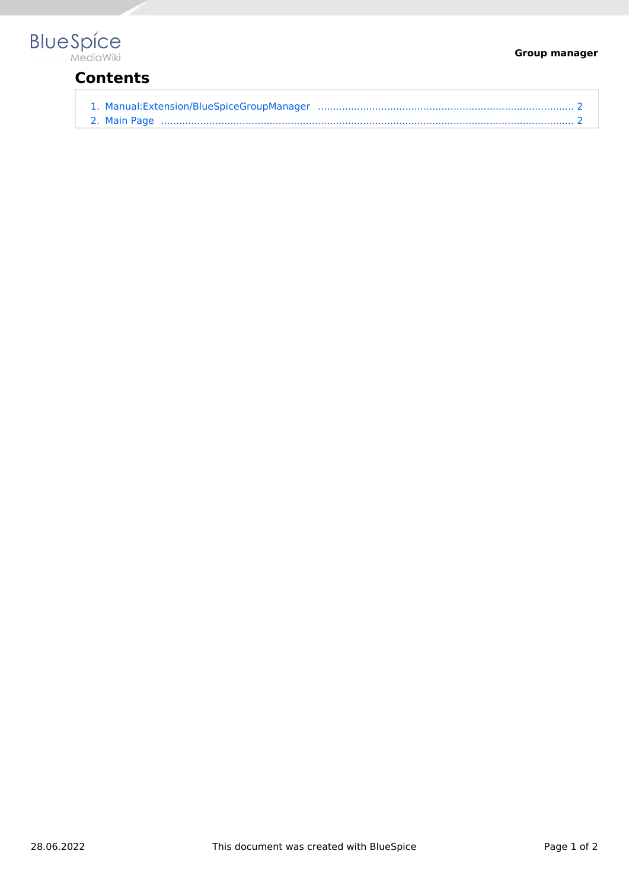# **BlueSpice**

## **Contents**